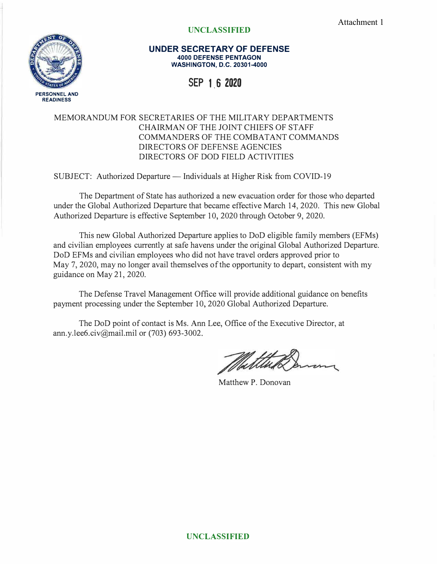Attachment 1



## **UNCLASSIFIED**

**UNDER SECRETARY OF DEFENSE 4000 DEFENSE PENTAGON WASHINGTON, D.C. 20301-4000** 

**SEP 1,6 2020** 

## MEMORANDUM FOR SECRETARIES OF THE MILITARY DEPARTMENTS CHAIRMAN OF THE JOINT CHIEFS OF STAFF COMMANDERS OF THE COMBATANT COMMANDS DIRECTORS OF DEFENSE AGENCIES DIRECTORS OF DOD FIELD ACTIVITIES

SUBJECT: Authorized Departure — Individuals at Higher Risk from COVID-19

The Department of State has authorized a new evacuation order for those who departed under the Global Authorized Departure that became effective March 14, 2020. This new Global Authorized Departure is effective September 10, 2020 through October 9, 2020.

This new Global Authorized Departure applies to DoD eligible family members (EFMs) and civilian employees currently at safe havens under the original Global Authorized Departure. DoD EFMs and civilian employees who did not have travel orders approved prior to May 7, 2020, may no longer avail themselves of the opportunity to depart, consistent with my guidance on May 21, 2020.

The Defense Travel Management Office will provide additional guidance on benefits payment processing under the September 10, 2020 Global Authorized Departure.

The DoD point of contact is Ms. Ann Lee, Office of the Executive Director, at ann.y.1ee6.civ@mail.mil or (703) 693-3002.

Matthew P. Donovan